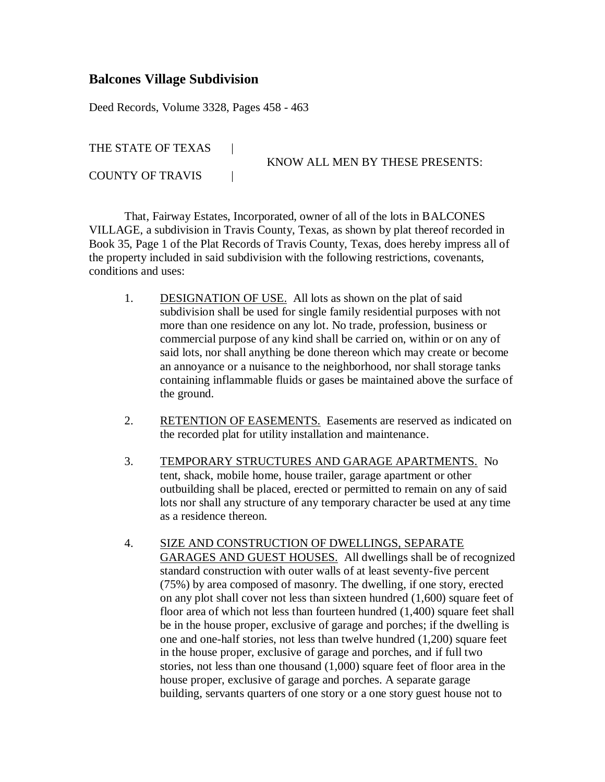## **Balcones Village Subdivision**

Deed Records, Volume 3328, Pages 458 - 463

THE STATE OF TEXAS |

conditions and uses:

COUNTY OF TRAVIS |

KNOW ALL MEN BY THESE PRESENTS:

That, Fairway Estates, Incorporated, owner of all of the lots in BALCONES VILLAGE, a subdivision in Travis County, Texas, as shown by plat thereof recorded in Book 35, Page 1 of the Plat Records of Travis County, Texas, does hereby impress all of the property included in said subdivision with the following restrictions, covenants,

- 1. DESIGNATION OF USE. All lots as shown on the plat of said subdivision shall be used for single family residential purposes with not more than one residence on any lot. No trade, profession, business or commercial purpose of any kind shall be carried on, within or on any of said lots, nor shall anything be done thereon which may create or become an annoyance or a nuisance to the neighborhood, nor shall storage tanks containing inflammable fluids or gases be maintained above the surface of the ground.
- 2. RETENTION OF EASEMENTS. Easements are reserved as indicated on the recorded plat for utility installation and maintenance.
- 3. TEMPORARY STRUCTURES AND GARAGE APARTMENTS. No tent, shack, mobile home, house trailer, garage apartment or other outbuilding shall be placed, erected or permitted to remain on any of said lots nor shall any structure of any temporary character be used at any time as a residence thereon.
- 4. SIZE AND CONSTRUCTION OF DWELLINGS, SEPARATE GARAGES AND GUEST HOUSES. All dwellings shall be of recognized standard construction with outer walls of at least seventy-five percent (75%) by area composed of masonry. The dwelling, if one story, erected on any plot shall cover not less than sixteen hundred (1,600) square feet of floor area of which not less than fourteen hundred (1,400) square feet shall be in the house proper, exclusive of garage and porches; if the dwelling is one and one-half stories, not less than twelve hundred (1,200) square feet in the house proper, exclusive of garage and porches, and if full two stories, not less than one thousand (1,000) square feet of floor area in the house proper, exclusive of garage and porches. A separate garage building, servants quarters of one story or a one story guest house not to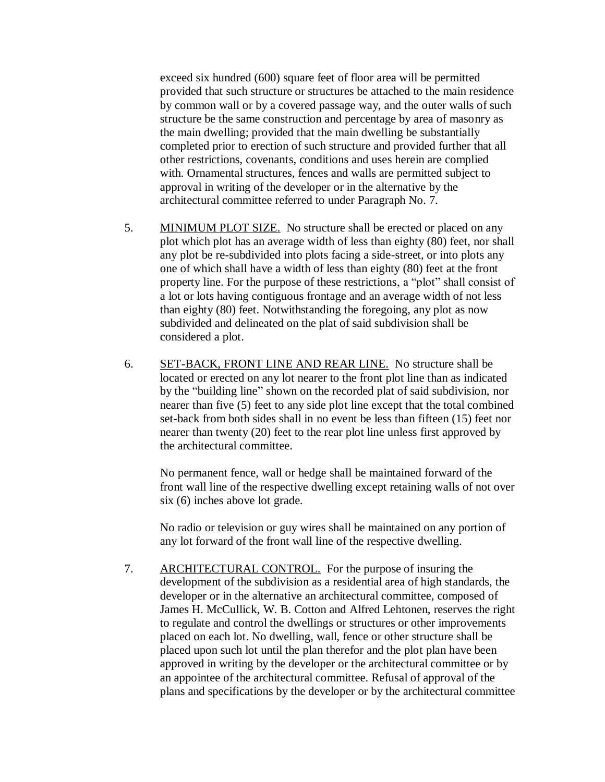exceed six hundred (600) square feet of floor area will be permitted provided that such structure or structures be attached to the main residence by common wall or by a covered passage way, and the outer walls of such structure be the same construction and percentage by area of masonry as the main dwelling; provided that the main dwelling be substantially completed prior to erection of such structure and provided further that all other restrictions, covenants, conditions and uses herein are complied with. Ornamental structures, fences and walls are permitted subject to approval in writing of the developer or in the alternative by the architectural committee referred to under Paragraph No. 7.

- 5. MINIMUM PLOT SIZE. No structure shall be erected or placed on any plot which plot has an average width of less than eighty (80) feet, nor shall any plot be re-subdivided into plots facing a side-street, or into plots any one of which shall have a width of less than eighty (80) feet at the front property line. For the purpose of these restrictions, a "plot" shall consist of a lot or lots having contiguous frontage and an average width of not less than eighty (80) feet. Notwithstanding the foregoing, any plot as now subdivided and delineated on the plat of said subdivision shall be considered a plot.
- 6. SET-BACK, FRONT LINE AND REAR LINE. No structure shall be located or erected on any lot nearer to the front plot line than as indicated by the "building line" shown on the recorded plat of said subdivision, nor nearer than five (5) feet to any side plot line except that the total combined set-back from both sides shall in no event be less than fifteen (15) feet nor nearer than twenty (20) feet to the rear plot line unless first approved by the architectural committee.

No permanent fence, wall or hedge shall be maintained forward of the front wall line of the respective dwelling except retaining walls of not over six (6) inches above lot grade.

No radio or television or guy wires shall be maintained on any portion of any lot forward of the front wall line of the respective dwelling.

7. ARCHITECTURAL CONTROL. For the purpose of insuring the development of the subdivision as a residential area of high standards, the developer or in the alternative an architectural committee, composed of James H. McCullick, W. B. Cotton and Alfred Lehtonen, reserves the right to regulate and control the dwellings or structures or other improvements placed on each lot. No dwelling, wall, fence or other structure shall be placed upon such lot until the plan therefor and the plot plan have been approved in writing by the developer or the architectural committee or by an appointee of the architectural committee. Refusal of approval of the plans and specifications by the developer or by the architectural committee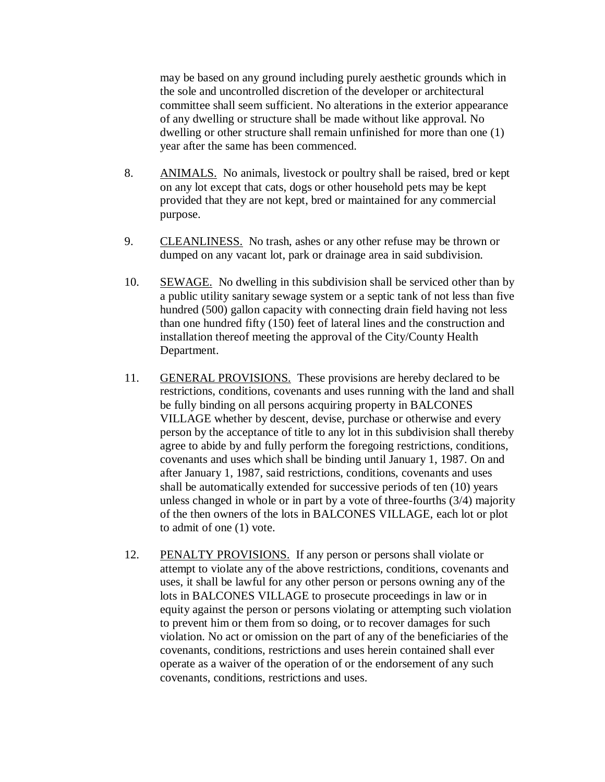may be based on any ground including purely aesthetic grounds which in the sole and uncontrolled discretion of the developer or architectural committee shall seem sufficient. No alterations in the exterior appearance of any dwelling or structure shall be made without like approval. No dwelling or other structure shall remain unfinished for more than one (1) year after the same has been commenced.

- 8. ANIMALS. No animals, livestock or poultry shall be raised, bred or kept on any lot except that cats, dogs or other household pets may be kept provided that they are not kept, bred or maintained for any commercial purpose.
- 9. CLEANLINESS. No trash, ashes or any other refuse may be thrown or dumped on any vacant lot, park or drainage area in said subdivision.
- 10. SEWAGE. No dwelling in this subdivision shall be serviced other than by a public utility sanitary sewage system or a septic tank of not less than five hundred (500) gallon capacity with connecting drain field having not less than one hundred fifty (150) feet of lateral lines and the construction and installation thereof meeting the approval of the City/County Health Department.
- 11. GENERAL PROVISIONS. These provisions are hereby declared to be restrictions, conditions, covenants and uses running with the land and shall be fully binding on all persons acquiring property in BALCONES VILLAGE whether by descent, devise, purchase or otherwise and every person by the acceptance of title to any lot in this subdivision shall thereby agree to abide by and fully perform the foregoing restrictions, conditions, covenants and uses which shall be binding until January 1, 1987. On and after January 1, 1987, said restrictions, conditions, covenants and uses shall be automatically extended for successive periods of ten (10) years unless changed in whole or in part by a vote of three-fourths (3/4) majority of the then owners of the lots in BALCONES VILLAGE, each lot or plot to admit of one (1) vote.
- 12. PENALTY PROVISIONS. If any person or persons shall violate or attempt to violate any of the above restrictions, conditions, covenants and uses, it shall be lawful for any other person or persons owning any of the lots in BALCONES VILLAGE to prosecute proceedings in law or in equity against the person or persons violating or attempting such violation to prevent him or them from so doing, or to recover damages for such violation. No act or omission on the part of any of the beneficiaries of the covenants, conditions, restrictions and uses herein contained shall ever operate as a waiver of the operation of or the endorsement of any such covenants, conditions, restrictions and uses.